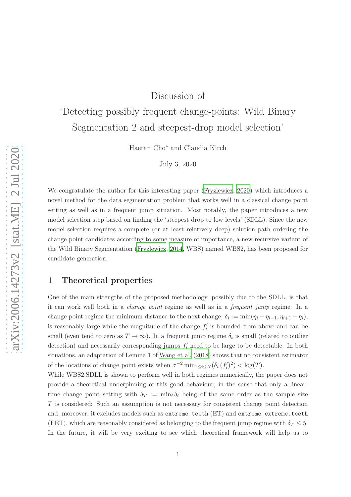## Discussion of

# 'Detecting possibly frequent change-points: Wild Binary Segmentation 2 and steepest-drop model selection'

Haeran Cho<sup>∗</sup> and Claudia Kirch

July 3, 2020

We congratulate the author for this interesting paper [\(Fryzlewicz, 2020\)](#page-3-0) which introduces a novel method for the data segmentation problem that works well in a classical change point setting as well as in a frequent jump situation. Most notably, the paper introduces a new model selection step based on finding the 'steepest drop to low levels' (SDLL). Since the new model selection requires a complete (or at least relatively deep) solution path ordering the change point candidates according to some measure of importance, a new recursive variant of the Wild Binary Segmentation [\(Fryzlewicz, 2014](#page-3-1), WBS) named WBS2, has been proposed for candidate generation.

#### <span id="page-0-0"></span>1 Theoretical properties

One of the main strengths of the proposed methodology, possibly due to the SDLL, is that it can work well both in a change point regime as well as in a frequent jump regime: In a change point regime the minimum distance to the next change,  $\delta_i := \min(\eta_i - \eta_{i-1}, \eta_{i+1} - \eta_i)$ , is reasonably large while the magnitude of the change  $f_i'$  is bounded from above and can be small (even tend to zero as  $T \to \infty$ ). In a frequent jump regime  $\delta_i$  is small (related to outlier detection) and necessarily corresponding jumps  $f_i'$  need to be large to be detectable. In both situations, an adaptation of Lemma 1 of [Wang et al. \(2018\)](#page-3-2) shows that no consistent estimator of the locations of change point exists when  $\sigma^{-2} \min_{1 \le i \le N} (\delta_i (f'_i)^2) < \log(T)$ .

While WBS2.SDLL is shown to perform well in both regimes numerically, the paper does not provide a theoretical underpinning of this good behaviour, in the sense that only a lineartime change point setting with  $\delta_T := \min_i \delta_i$  being of the same order as the sample size T is considered: Such an assumption is not necessary for consistent change point detection and, moreover, it excludes models such as extreme.teeth (ET) and extreme.extreme.teeth (EET), which are reasonably considered as belonging to the frequent jump regime with  $\delta_T \leq 5$ . In the future, it will be very exciting to see which theoretical framework will help us to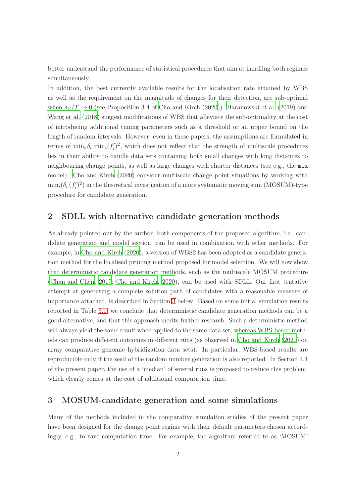better understand the performance of statistical procedures that aim at handling both regimes simultaneously.

In addition, the best currently available results for the localisation rate attained by WBS as well as the requirement on the magnitude of changes for their detection, are sub-optimal when  $\delta_T/T \to 0$  (see Proposition 3.4 of [Cho and Kirch \(2020\)](#page-3-3)). [Baranowski et al. \(2019\)](#page-3-4) and [Wang et al. \(2018\)](#page-3-2) suggest modifications of WBS that alleviate the sub-optimality at the cost of introducing additional tuning parameters such as a threshold or an upper bound on the length of random intervals. However, even in these papers, the assumptions are formulated in terms of  $\min_i \delta_i \min_i (f'_i)^2$ , which does not reflect that the strength of multiscale procedures lies in their ability to handle data sets containing both small changes with long distances to neighbouring change points, as well as large changes with shorter distances (see e.g., the mix model). [Cho and Kirch](#page-3-3) [\(2020](#page-3-3)) consider multiscale change point situations by working with  $\min_i(\delta_i(f_i')^2)$  in the theoretical investigation of a more systematic moving sum (MOSUM)-type procedure for candidate generation.

#### 2 SDLL with alternative candidate generation methods

As already pointed out by the author, both components of the proposed algorithm, i.e., candidate generation and model section, can be used in combination with other methods. For example, in [Cho and Kirch](#page-3-3) [\(2020](#page-3-3)), a version of WBS2 has been adopted as a candidate generation method for the localised pruning method proposed for model selection. We will now show that deterministic candidate generation methods, such as the multiscale MOSUM procedure [\(Chan and Chen, 2017](#page-3-5); [Cho and Kirch](#page-3-3), [2020\)](#page-3-3), can be used with SDLL. Our first tentative attempt at generating a complete solution path of candidates with a reasonable measure of importance attached, is described in Section [3](#page-1-0) below. Based on some initial simulation results reported in Table [3.1,](#page-3-6) we conclude that deterministic candidate generation methods can be a good alternative, and that this approach merits further research. Such a deterministic method will always yield the same result when applied to the same data set, whereas WBS-based methods can produce different outcomes in different runs (as observed in [Cho and Kirch \(2020](#page-3-3)) on array comparative genomic hybridization data sets). In particular, WBS-based results are reproducible only if the seed of the random number generation is also reported. In Section 4.1 of the present paper, the use of a 'median' of several runs is proposed to reduce this problem, which clearly comes at the cost of additional computation time.

### <span id="page-1-0"></span>3 MOSUM-candidate generation and some simulations

Many of the methods included in the comparative simulation studies of the present paper have been designed for the change point regime with their default parameters chosen accordingly, e.g., to save computation time. For example, the algorithm referred to as 'MOSUM'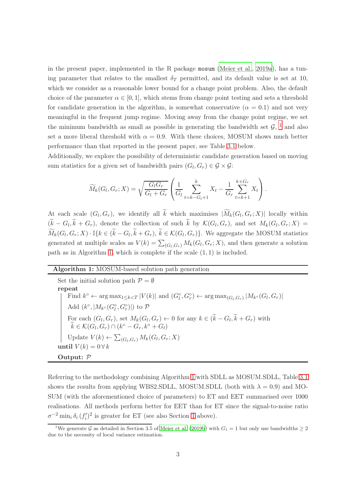in the present paper, implemented in the R package mosum [\(Meier et al., 2019a](#page-3-7)), has a tuning parameter that relates to the smallest  $\delta_T$  permitted, and its default value is set at 10, which we consider as a reasonable lower bound for a change point problem. Also, the default choice of the parameter  $\alpha \in [0, 1]$ , which stems from change point testing and sets a threshold for candidate generation in the algorithm, is somewhat conservative ( $\alpha = 0.1$ ) and not very meaningful in the frequent jump regime. Moving away from the change point regime, we set the minimum bandwidth as small as possible in generating the bandwidth set  $\mathcal{G}$ , <sup>1</sup> and also set a more liberal threshold with  $\alpha = 0.9$ . With these choices, MOSUM shows much better performance than that reported in the present paper, see Table [3.1](#page-3-6) below.

Additionally, we explore the possibility of deterministic candidate generation based on moving sum statistics for a given set of bandwidth pairs  $(G_l, G_r) \in \mathcal{G} \times \mathcal{G}$ :

$$
\widetilde{M}_k(G_l, G_r; X) = \sqrt{\frac{G_l G_r}{G_l + G_r}} \left( \frac{1}{G_l} \sum_{t=k-G_l+1}^k X_t - \frac{1}{G_r} \sum_{t=k+1}^{k+G_r} X_t \right).
$$

At each scale  $(G_l, G_r)$ , we identify all k which maximises  $|M_k(G_l, G_r; X)|$  locally within  $(k - G_l, k + G_r)$ , denote the collection of such k by  $\mathcal{K}(G_l, G_r)$ , and set  $M_k(G_l, G_r; X) =$  $\widetilde{M}_k(G_l,G_r;X) \cdot \mathbb{I}_{\{k \in (\widetilde{k}-G_l,\widetilde{k}+G_r), \ \widetilde{k} \in \mathcal{K}(G_l,G_r)\}.$  We aggregate the MOSUM statistics generated at multiple scales as  $V(k) = \sum_{(G_l, G_r)} M_k(G_l, G_r; X)$ , and then generate a solution path as in Algorithm [1,](#page-2-0) which is complete if the scale (1, 1) is included.

#### <span id="page-2-0"></span>Algorithm 1: MOSUM-based solution path generation

Set the initial solution path  $\mathcal{P} = \emptyset$ repeat Find  $k^{\circ} \leftarrow \arg \max_{1 \leq k \leq T} |V(k)|$  and  $(G_{l}^{\circ}, G_{r}^{\circ}) \leftarrow \arg \max_{(G_{l}, G_{r})} |M_{k^{\circ}}(G_{l}, G_{r})|$ Add $(k^{\circ}, |M_{k^{\circ}}(G_{l}^{\circ}, G_{r}^{\circ})|)$  to  ${\mathcal P}$ For each  $(G_l, G_r)$ , set  $M_k(G_l, G_r) \leftarrow 0$  for any  $k \in (k - G_l, k + G_r)$  with  $\widetilde{k} \in \mathcal{K}(G_l, G_r) \cap (k^\circ - G_r, k^\circ + G_l)$ Update  $V(k) \leftarrow \sum_{(G_l, G_r)} M_k(G_l, G_r; X)$ until  $V(k) = 0 \forall k$ Output: P

Referring to the methodology combining Algorithm [1](#page-2-0) with SDLL as MOSUM.SDLL, Table [3.1](#page-3-6) shows the results from applying WBS2.SDLL, MOSUM.SDLL (both with  $\lambda = 0.9$ ) and MO-SUM (with the aforementioned choice of parameters) to ET and EET summarised over 1000 realisations. All methods perform better for EET than for ET since the signal-to-noise ratio  $\sigma^{-2}$  min<sub>i</sub>  $\delta_i (f_i')^2$  is greater for ET (see also Section [1](#page-0-0) above).

<sup>&</sup>lt;sup>1</sup>We generate G as detailed in Section 3.5 of [Meier et al. \(2019b\)](#page-3-8) with  $G_1 = 1$  but only use bandwidths  $\geq 2$ due to the necessity of local variance estimation.